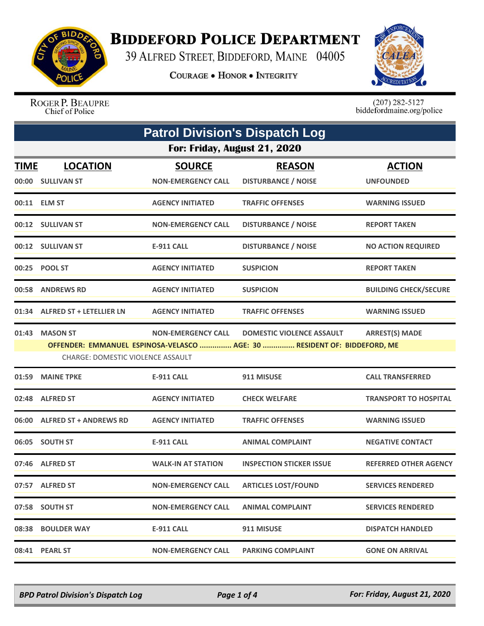

## **BIDDEFORD POLICE DEPARTMENT**

39 ALFRED STREET, BIDDEFORD, MAINE 04005

**COURAGE . HONOR . INTEGRITY** 



ROGER P. BEAUPRE Chief of Police

 $(207)$  282-5127<br>biddefordmaine.org/police

| <b>Patrol Division's Dispatch Log</b> |                                          |                           |                                                                          |                              |  |  |
|---------------------------------------|------------------------------------------|---------------------------|--------------------------------------------------------------------------|------------------------------|--|--|
|                                       | For: Friday, August 21, 2020             |                           |                                                                          |                              |  |  |
| <b>TIME</b>                           | <b>LOCATION</b>                          | <b>SOURCE</b>             | <b>REASON</b>                                                            | <b>ACTION</b>                |  |  |
|                                       | 00:00 SULLIVAN ST                        | <b>NON-EMERGENCY CALL</b> | <b>DISTURBANCE / NOISE</b>                                               | <b>UNFOUNDED</b>             |  |  |
|                                       | 00:11 ELM ST                             | <b>AGENCY INITIATED</b>   | <b>TRAFFIC OFFENSES</b>                                                  | <b>WARNING ISSUED</b>        |  |  |
|                                       | 00:12 SULLIVAN ST                        | <b>NON-EMERGENCY CALL</b> | <b>DISTURBANCE / NOISE</b>                                               | <b>REPORT TAKEN</b>          |  |  |
|                                       | 00:12 SULLIVAN ST                        | <b>E-911 CALL</b>         | <b>DISTURBANCE / NOISE</b>                                               | <b>NO ACTION REQUIRED</b>    |  |  |
|                                       | 00:25 POOL ST                            | <b>AGENCY INITIATED</b>   | <b>SUSPICION</b>                                                         | <b>REPORT TAKEN</b>          |  |  |
|                                       | 00:58 ANDREWS RD                         | <b>AGENCY INITIATED</b>   | <b>SUSPICION</b>                                                         | <b>BUILDING CHECK/SECURE</b> |  |  |
|                                       | 01:34 ALFRED ST + LETELLIER LN           | <b>AGENCY INITIATED</b>   | <b>TRAFFIC OFFENSES</b>                                                  | <b>WARNING ISSUED</b>        |  |  |
| 01:43                                 | <b>MASON ST</b>                          | <b>NON-EMERGENCY CALL</b> | <b>DOMESTIC VIOLENCE ASSAULT</b>                                         | <b>ARREST(S) MADE</b>        |  |  |
|                                       | <b>CHARGE: DOMESTIC VIOLENCE ASSAULT</b> |                           | OFFENDER: EMMANUEL ESPINOSA-VELASCO  AGE: 30  RESIDENT OF: BIDDEFORD, ME |                              |  |  |
| 01:59                                 | <b>MAINE TPKE</b>                        | <b>E-911 CALL</b>         | 911 MISUSE                                                               | <b>CALL TRANSFERRED</b>      |  |  |
|                                       | 02:48 ALFRED ST                          | <b>AGENCY INITIATED</b>   | <b>CHECK WELFARE</b>                                                     | <b>TRANSPORT TO HOSPITAL</b> |  |  |
|                                       | 06:00 ALFRED ST + ANDREWS RD             | <b>AGENCY INITIATED</b>   | <b>TRAFFIC OFFENSES</b>                                                  | <b>WARNING ISSUED</b>        |  |  |
|                                       | 06:05 SOUTH ST                           | <b>E-911 CALL</b>         | <b>ANIMAL COMPLAINT</b>                                                  | <b>NEGATIVE CONTACT</b>      |  |  |
|                                       | 07:46 ALFRED ST                          | <b>WALK-IN AT STATION</b> | <b>INSPECTION STICKER ISSUE</b>                                          | <b>REFERRED OTHER AGENCY</b> |  |  |
|                                       | 07:57 ALFRED ST                          | <b>NON-EMERGENCY CALL</b> | <b>ARTICLES LOST/FOUND</b>                                               | <b>SERVICES RENDERED</b>     |  |  |
|                                       | 07:58 SOUTH ST                           | <b>NON-EMERGENCY CALL</b> | <b>ANIMAL COMPLAINT</b>                                                  | <b>SERVICES RENDERED</b>     |  |  |
|                                       | 08:38 BOULDER WAY                        | E-911 CALL                | 911 MISUSE                                                               | <b>DISPATCH HANDLED</b>      |  |  |
|                                       | 08:41 PEARL ST                           | <b>NON-EMERGENCY CALL</b> | <b>PARKING COMPLAINT</b>                                                 | <b>GONE ON ARRIVAL</b>       |  |  |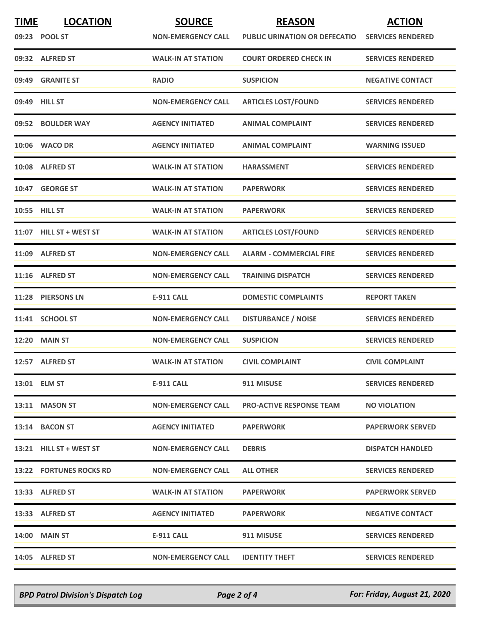| <b>TIME</b> | <b>LOCATION</b>         | <b>SOURCE</b>             | <b>REASON</b>                        | <b>ACTION</b>            |
|-------------|-------------------------|---------------------------|--------------------------------------|--------------------------|
|             | 09:23 POOL ST           | <b>NON-EMERGENCY CALL</b> | <b>PUBLIC URINATION OR DEFECATIO</b> | <b>SERVICES RENDERED</b> |
|             | 09:32 ALFRED ST         | <b>WALK-IN AT STATION</b> | <b>COURT ORDERED CHECK IN</b>        | <b>SERVICES RENDERED</b> |
| 09:49       | <b>GRANITE ST</b>       | <b>RADIO</b>              | <b>SUSPICION</b>                     | <b>NEGATIVE CONTACT</b>  |
|             | 09:49 HILL ST           | <b>NON-EMERGENCY CALL</b> | <b>ARTICLES LOST/FOUND</b>           | <b>SERVICES RENDERED</b> |
|             | 09:52 BOULDER WAY       | <b>AGENCY INITIATED</b>   | <b>ANIMAL COMPLAINT</b>              | <b>SERVICES RENDERED</b> |
|             | 10:06 WACO DR           | <b>AGENCY INITIATED</b>   | <b>ANIMAL COMPLAINT</b>              | <b>WARNING ISSUED</b>    |
|             | 10:08 ALFRED ST         | <b>WALK-IN AT STATION</b> | <b>HARASSMENT</b>                    | <b>SERVICES RENDERED</b> |
|             | 10:47 GEORGE ST         | <b>WALK-IN AT STATION</b> | <b>PAPERWORK</b>                     | <b>SERVICES RENDERED</b> |
|             | 10:55 HILL ST           | <b>WALK-IN AT STATION</b> | <b>PAPERWORK</b>                     | <b>SERVICES RENDERED</b> |
|             | 11:07 HILL ST + WEST ST | <b>WALK-IN AT STATION</b> | <b>ARTICLES LOST/FOUND</b>           | <b>SERVICES RENDERED</b> |
|             | 11:09 ALFRED ST         | <b>NON-EMERGENCY CALL</b> | <b>ALARM - COMMERCIAL FIRE</b>       | <b>SERVICES RENDERED</b> |
|             | 11:16 ALFRED ST         | <b>NON-EMERGENCY CALL</b> | <b>TRAINING DISPATCH</b>             | <b>SERVICES RENDERED</b> |
|             | 11:28 PIERSONS LN       | <b>E-911 CALL</b>         | <b>DOMESTIC COMPLAINTS</b>           | <b>REPORT TAKEN</b>      |
|             | 11:41 SCHOOL ST         | <b>NON-EMERGENCY CALL</b> | <b>DISTURBANCE / NOISE</b>           | <b>SERVICES RENDERED</b> |
|             | <b>12:20 MAIN ST</b>    | <b>NON-EMERGENCY CALL</b> | <b>SUSPICION</b>                     | <b>SERVICES RENDERED</b> |
|             | 12:57 ALFRED ST         | <b>WALK-IN AT STATION</b> | <b>CIVIL COMPLAINT</b>               | <b>CIVIL COMPLAINT</b>   |
|             | 13:01 ELM ST            | E-911 CALL                | 911 MISUSE                           | <b>SERVICES RENDERED</b> |
|             | 13:11 MASON ST          | <b>NON-EMERGENCY CALL</b> | <b>PRO-ACTIVE RESPONSE TEAM</b>      | <b>NO VIOLATION</b>      |
|             | 13:14 BACON ST          | <b>AGENCY INITIATED</b>   | <b>PAPERWORK</b>                     | <b>PAPERWORK SERVED</b>  |
|             | 13:21 HILL ST + WEST ST | <b>NON-EMERGENCY CALL</b> | <b>DEBRIS</b>                        | <b>DISPATCH HANDLED</b>  |
|             | 13:22 FORTUNES ROCKS RD | <b>NON-EMERGENCY CALL</b> | <b>ALL OTHER</b>                     | <b>SERVICES RENDERED</b> |
|             | 13:33 ALFRED ST         | <b>WALK-IN AT STATION</b> | <b>PAPERWORK</b>                     | <b>PAPERWORK SERVED</b>  |
|             | 13:33 ALFRED ST         | <b>AGENCY INITIATED</b>   | <b>PAPERWORK</b>                     | <b>NEGATIVE CONTACT</b>  |
|             | <b>14:00 MAIN ST</b>    | E-911 CALL                | 911 MISUSE                           | <b>SERVICES RENDERED</b> |
|             | 14:05 ALFRED ST         | <b>NON-EMERGENCY CALL</b> | <b>IDENTITY THEFT</b>                | <b>SERVICES RENDERED</b> |

*BPD Patrol Division's Dispatch Log Page 2 of 4 For: Friday, August 21, 2020*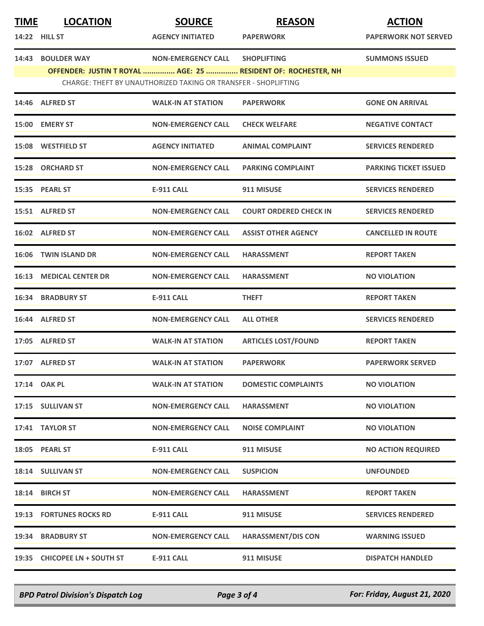| <b>TIME</b> | <b>LOCATION</b><br><b>14:22 HILL ST</b> | <b>SOURCE</b><br><b>AGENCY INITIATED</b>                       | <b>REASON</b><br><b>PAPERWORK</b>                             | <b>ACTION</b><br><b>PAPERWORK NOT SERVED</b> |
|-------------|-----------------------------------------|----------------------------------------------------------------|---------------------------------------------------------------|----------------------------------------------|
|             | 14:43 BOULDER WAY                       | <b>NON-EMERGENCY CALL</b>                                      | <b>SHOPLIFTING</b>                                            | <b>SUMMONS ISSUED</b>                        |
|             |                                         | CHARGE: THEFT BY UNAUTHORIZED TAKING OR TRANSFER - SHOPLIFTING | OFFENDER: JUSTIN T ROYAL  AGE: 25  RESIDENT OF: ROCHESTER, NH |                                              |
|             |                                         |                                                                |                                                               |                                              |
|             | 14:46 ALFRED ST                         | <b>WALK-IN AT STATION</b>                                      | <b>PAPERWORK</b>                                              | <b>GONE ON ARRIVAL</b>                       |
|             | 15:00 EMERY ST                          | <b>NON-EMERGENCY CALL</b>                                      | <b>CHECK WELFARE</b>                                          | <b>NEGATIVE CONTACT</b>                      |
|             | 15:08 WESTFIELD ST                      | <b>AGENCY INITIATED</b>                                        | <b>ANIMAL COMPLAINT</b>                                       | <b>SERVICES RENDERED</b>                     |
|             | 15:28 ORCHARD ST                        | <b>NON-EMERGENCY CALL</b>                                      | <b>PARKING COMPLAINT</b>                                      | <b>PARKING TICKET ISSUED</b>                 |
|             | 15:35 PEARL ST                          | <b>E-911 CALL</b>                                              | 911 MISUSE                                                    | <b>SERVICES RENDERED</b>                     |
|             | 15:51 ALFRED ST                         | <b>NON-EMERGENCY CALL</b>                                      | <b>COURT ORDERED CHECK IN</b>                                 | <b>SERVICES RENDERED</b>                     |
|             | 16:02 ALFRED ST                         | <b>NON-EMERGENCY CALL</b>                                      | <b>ASSIST OTHER AGENCY</b>                                    | <b>CANCELLED IN ROUTE</b>                    |
| 16:06       | <b>TWIN ISLAND DR</b>                   | <b>NON-EMERGENCY CALL</b>                                      | <b>HARASSMENT</b>                                             | <b>REPORT TAKEN</b>                          |
|             | <b>16:13 MEDICAL CENTER DR</b>          | <b>NON-EMERGENCY CALL</b>                                      | <b>HARASSMENT</b>                                             | <b>NO VIOLATION</b>                          |
|             | <b>16:34 BRADBURY ST</b>                | <b>E-911 CALL</b>                                              | <b>THEFT</b>                                                  | <b>REPORT TAKEN</b>                          |
|             | 16:44 ALFRED ST                         | <b>NON-EMERGENCY CALL</b>                                      | <b>ALL OTHER</b>                                              | <b>SERVICES RENDERED</b>                     |
|             | 17:05 ALFRED ST                         | <b>WALK-IN AT STATION</b>                                      | <b>ARTICLES LOST/FOUND</b>                                    | <b>REPORT TAKEN</b>                          |
|             | 17:07 ALFRED ST                         | <b>WALK-IN AT STATION</b>                                      | <b>PAPERWORK</b>                                              | <b>PAPERWORK SERVED</b>                      |
|             | 17:14 OAK PL                            | <b>WALK-IN AT STATION</b>                                      | <b>DOMESTIC COMPLAINTS</b>                                    | <b>NO VIOLATION</b>                          |
|             | <b>17:15 SULLIVAN ST</b>                | <b>NON-EMERGENCY CALL</b>                                      | <b>HARASSMENT</b>                                             | <b>NO VIOLATION</b>                          |
|             | 17:41 TAYLOR ST                         | <b>NON-EMERGENCY CALL</b>                                      | <b>NOISE COMPLAINT</b>                                        | <b>NO VIOLATION</b>                          |
|             | 18:05 PEARL ST                          | <b>E-911 CALL</b>                                              | 911 MISUSE                                                    | <b>NO ACTION REQUIRED</b>                    |
|             | 18:14 SULLIVAN ST                       | <b>NON-EMERGENCY CALL</b>                                      | <b>SUSPICION</b>                                              | <b>UNFOUNDED</b>                             |
|             | 18:14 BIRCH ST                          | <b>NON-EMERGENCY CALL</b>                                      | <b>HARASSMENT</b>                                             | <b>REPORT TAKEN</b>                          |
|             | <b>19:13 FORTUNES ROCKS RD</b>          | <b>E-911 CALL</b>                                              | 911 MISUSE                                                    | <b>SERVICES RENDERED</b>                     |
|             | 19:34 BRADBURY ST                       | <b>NON-EMERGENCY CALL</b>                                      | <b>HARASSMENT/DIS CON</b>                                     | <b>WARNING ISSUED</b>                        |
|             | 19:35 CHICOPEE LN + SOUTH ST            | <b>E-911 CALL</b>                                              | 911 MISUSE                                                    | <b>DISPATCH HANDLED</b>                      |

*BPD Patrol Division's Dispatch Log Page 3 of 4 For: Friday, August 21, 2020*